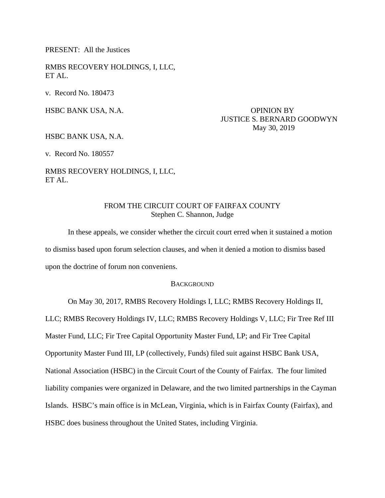PRESENT: All the Justices

RMBS RECOVERY HOLDINGS, I, LLC, ET AL.

v. Record No. 180473

# HSBC BANK USA, N.A. OPINION BY JUSTICE S. BERNARD GOODWYN May 30, 2019

HSBC BANK USA, N.A.

v. Record No. 180557

RMBS RECOVERY HOLDINGS, I, LLC, ET AL.

# FROM THE CIRCUIT COURT OF FAIRFAX COUNTY Stephen C. Shannon, Judge

 In these appeals, we consider whether the circuit court erred when it sustained a motion to dismiss based upon forum selection clauses, and when it denied a motion to dismiss based upon the doctrine of forum non conveniens.

## **BACKGROUND**

On May 30, 2017, RMBS Recovery Holdings I, LLC; RMBS Recovery Holdings II,

LLC; RMBS Recovery Holdings IV, LLC; RMBS Recovery Holdings V, LLC; Fir Tree Ref III

Master Fund, LLC; Fir Tree Capital Opportunity Master Fund, LP; and Fir Tree Capital

Opportunity Master Fund III, LP (collectively, Funds) filed suit against HSBC Bank USA,

National Association (HSBC) in the Circuit Court of the County of Fairfax. The four limited

liability companies were organized in Delaware, and the two limited partnerships in the Cayman

Islands. HSBC's main office is in McLean, Virginia, which is in Fairfax County (Fairfax), and

HSBC does business throughout the United States, including Virginia.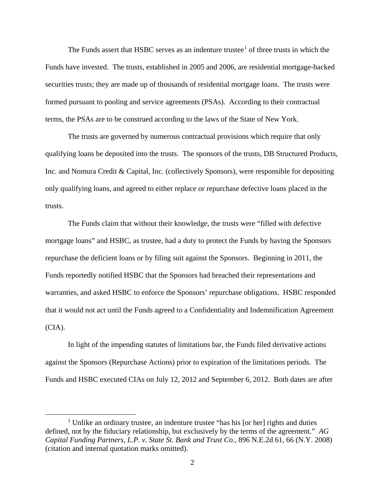The Funds assert that HSBC serves as an indenture trustee $<sup>1</sup>$  $<sup>1</sup>$  $<sup>1</sup>$  of three trusts in which the</sup> Funds have invested. The trusts, established in 2005 and 2006, are residential mortgage-backed securities trusts; they are made up of thousands of residential mortgage loans. The trusts were formed pursuant to pooling and service agreements (PSAs). According to their contractual terms, the PSAs are to be construed according to the laws of the State of New York.

The trusts are governed by numerous contractual provisions which require that only qualifying loans be deposited into the trusts. The sponsors of the trusts, DB Structured Products, Inc. and Nomura Credit & Capital, Inc. (collectively Sponsors), were responsible for depositing only qualifying loans, and agreed to either replace or repurchase defective loans placed in the trusts.

The Funds claim that without their knowledge, the trusts were "filled with defective mortgage loans" and HSBC, as trustee, had a duty to protect the Funds by having the Sponsors repurchase the deficient loans or by filing suit against the Sponsors. Beginning in 2011, the Funds reportedly notified HSBC that the Sponsors had breached their representations and warranties, and asked HSBC to enforce the Sponsors' repurchase obligations. HSBC responded that it would not act until the Funds agreed to a Confidentiality and Indemnification Agreement (CIA).

In light of the impending statutes of limitations bar, the Funds filed derivative actions against the Sponsors (Repurchase Actions) prior to expiration of the limitations periods. The Funds and HSBC executed CIAs on July 12, 2012 and September 6, 2012. Both dates are after

<span id="page-1-0"></span><sup>1&</sup>lt;sup>1</sup>  $1$  Unlike an ordinary trustee, an indenture trustee "has his [or her] rights and duties defined, not by the fiduciary relationship, but exclusively by the terms of the agreement." *AG Capital Funding Partners, L.P. v. State St. Bank and Trust Co.*, 896 N.E.2d 61, 66 (N.Y. 2008) (citation and internal quotation marks omitted).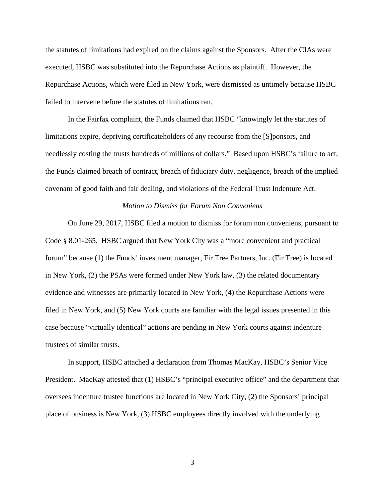the statutes of limitations had expired on the claims against the Sponsors. After the CIAs were executed, HSBC was substituted into the Repurchase Actions as plaintiff. However, the Repurchase Actions, which were filed in New York, were dismissed as untimely because HSBC failed to intervene before the statutes of limitations ran.

In the Fairfax complaint, the Funds claimed that HSBC "knowingly let the statutes of limitations expire, depriving certificateholders of any recourse from the [S]ponsors, and needlessly costing the trusts hundreds of millions of dollars." Based upon HSBC's failure to act, the Funds claimed breach of contract, breach of fiduciary duty, negligence, breach of the implied covenant of good faith and fair dealing, and violations of the Federal Trust Indenture Act.

## *Motion to Dismiss for Forum Non Conveniens*

On June 29, 2017, HSBC filed a motion to dismiss for forum non conveniens, pursuant to Code § 8.01-265. HSBC argued that New York City was a "more convenient and practical forum" because (1) the Funds' investment manager, Fir Tree Partners, Inc. (Fir Tree) is located in New York, (2) the PSAs were formed under New York law, (3) the related documentary evidence and witnesses are primarily located in New York, (4) the Repurchase Actions were filed in New York, and (5) New York courts are familiar with the legal issues presented in this case because "virtually identical" actions are pending in New York courts against indenture trustees of similar trusts.

In support, HSBC attached a declaration from Thomas MacKay, HSBC's Senior Vice President. MacKay attested that (1) HSBC's "principal executive office" and the department that oversees indenture trustee functions are located in New York City, (2) the Sponsors' principal place of business is New York, (3) HSBC employees directly involved with the underlying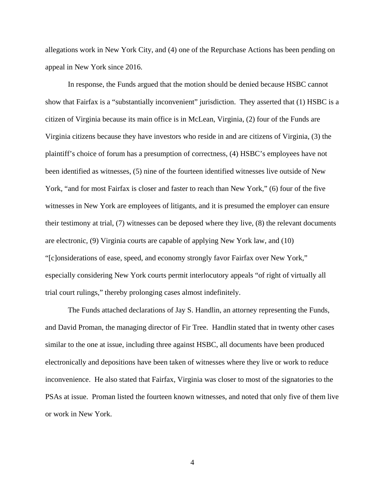allegations work in New York City, and (4) one of the Repurchase Actions has been pending on appeal in New York since 2016.

In response, the Funds argued that the motion should be denied because HSBC cannot show that Fairfax is a "substantially inconvenient" jurisdiction. They asserted that (1) HSBC is a citizen of Virginia because its main office is in McLean, Virginia, (2) four of the Funds are Virginia citizens because they have investors who reside in and are citizens of Virginia, (3) the plaintiff's choice of forum has a presumption of correctness, (4) HSBC's employees have not been identified as witnesses, (5) nine of the fourteen identified witnesses live outside of New York, "and for most Fairfax is closer and faster to reach than New York," (6) four of the five witnesses in New York are employees of litigants, and it is presumed the employer can ensure their testimony at trial, (7) witnesses can be deposed where they live, (8) the relevant documents are electronic, (9) Virginia courts are capable of applying New York law, and (10) "[c]onsiderations of ease, speed, and economy strongly favor Fairfax over New York," especially considering New York courts permit interlocutory appeals "of right of virtually all trial court rulings," thereby prolonging cases almost indefinitely.

The Funds attached declarations of Jay S. Handlin, an attorney representing the Funds, and David Proman, the managing director of Fir Tree. Handlin stated that in twenty other cases similar to the one at issue, including three against HSBC, all documents have been produced electronically and depositions have been taken of witnesses where they live or work to reduce inconvenience. He also stated that Fairfax, Virginia was closer to most of the signatories to the PSAs at issue. Proman listed the fourteen known witnesses, and noted that only five of them live or work in New York.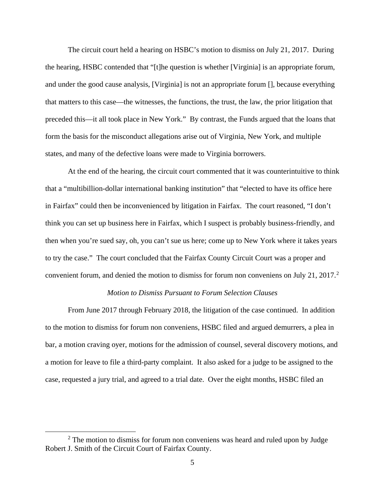The circuit court held a hearing on HSBC's motion to dismiss on July 21, 2017. During the hearing, HSBC contended that "[t]he question is whether [Virginia] is an appropriate forum, and under the good cause analysis, [Virginia] is not an appropriate forum [], because everything that matters to this case—the witnesses, the functions, the trust, the law, the prior litigation that preceded this—it all took place in New York." By contrast, the Funds argued that the loans that form the basis for the misconduct allegations arise out of Virginia, New York, and multiple states, and many of the defective loans were made to Virginia borrowers.

At the end of the hearing, the circuit court commented that it was counterintuitive to think that a "multibillion-dollar international banking institution" that "elected to have its office here in Fairfax" could then be inconvenienced by litigation in Fairfax. The court reasoned, "I don't think you can set up business here in Fairfax, which I suspect is probably business-friendly, and then when you're sued say, oh, you can't sue us here; come up to New York where it takes years to try the case." The court concluded that the Fairfax County Circuit Court was a proper and convenient forum, and denied the motion to dismiss for forum non conveniens on July [2](#page-4-0)1, 2017.<sup>2</sup>

### *Motion to Dismiss Pursuant to Forum Selection Clauses*

From June 2017 through February 2018, the litigation of the case continued. In addition to the motion to dismiss for forum non conveniens, HSBC filed and argued demurrers, a plea in bar, a motion craving oyer, motions for the admission of counsel, several discovery motions, and a motion for leave to file a third-party complaint. It also asked for a judge to be assigned to the case, requested a jury trial, and agreed to a trial date. Over the eight months, HSBC filed an

<span id="page-4-0"></span> <sup>2</sup>  $2$  The motion to dismiss for forum non conveniens was heard and ruled upon by Judge Robert J. Smith of the Circuit Court of Fairfax County.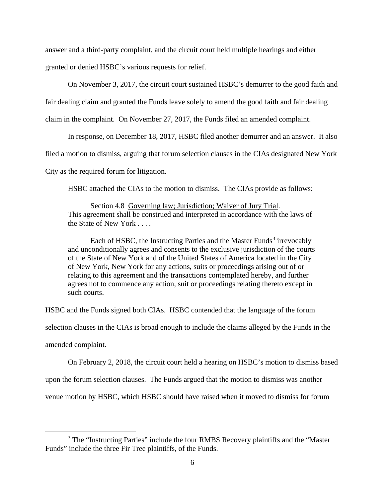answer and a third-party complaint, and the circuit court held multiple hearings and either granted or denied HSBC's various requests for relief.

On November 3, 2017, the circuit court sustained HSBC's demurrer to the good faith and

fair dealing claim and granted the Funds leave solely to amend the good faith and fair dealing

claim in the complaint. On November 27, 2017, the Funds filed an amended complaint.

In response, on December 18, 2017, HSBC filed another demurrer and an answer. It also

filed a motion to dismiss, arguing that forum selection clauses in the CIAs designated New York

City as the required forum for litigation.

HSBC attached the CIAs to the motion to dismiss. The CIAs provide as follows:

Section 4.8 Governing law; Jurisdiction; Waiver of Jury Trial. This agreement shall be construed and interpreted in accordance with the laws of the State of New York . . . .

Each of HSBC, the Instructing Parties and the Master Funds<sup>[3](#page-5-0)</sup> irrevocably and unconditionally agrees and consents to the exclusive jurisdiction of the courts of the State of New York and of the United States of America located in the City of New York, New York for any actions, suits or proceedings arising out of or relating to this agreement and the transactions contemplated hereby, and further agrees not to commence any action, suit or proceedings relating thereto except in such courts.

HSBC and the Funds signed both CIAs. HSBC contended that the language of the forum

selection clauses in the CIAs is broad enough to include the claims alleged by the Funds in the

amended complaint.

On February 2, 2018, the circuit court held a hearing on HSBC's motion to dismiss based

upon the forum selection clauses. The Funds argued that the motion to dismiss was another

venue motion by HSBC, which HSBC should have raised when it moved to dismiss for forum

<span id="page-5-0"></span><sup>&</sup>lt;sup>3</sup> The "Instructing Parties" include the four RMBS Recovery plaintiffs and the "Master" Funds" include the three Fir Tree plaintiffs, of the Funds.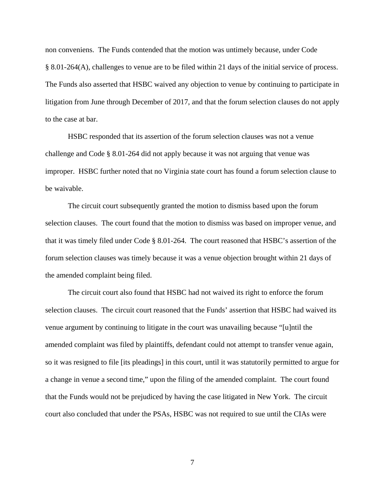non conveniens. The Funds contended that the motion was untimely because, under Code § 8.01-264(A), challenges to venue are to be filed within 21 days of the initial service of process. The Funds also asserted that HSBC waived any objection to venue by continuing to participate in litigation from June through December of 2017, and that the forum selection clauses do not apply to the case at bar.

HSBC responded that its assertion of the forum selection clauses was not a venue challenge and Code § 8.01-264 did not apply because it was not arguing that venue was improper. HSBC further noted that no Virginia state court has found a forum selection clause to be waivable.

The circuit court subsequently granted the motion to dismiss based upon the forum selection clauses. The court found that the motion to dismiss was based on improper venue, and that it was timely filed under Code § 8.01-264. The court reasoned that HSBC's assertion of the forum selection clauses was timely because it was a venue objection brought within 21 days of the amended complaint being filed.

The circuit court also found that HSBC had not waived its right to enforce the forum selection clauses. The circuit court reasoned that the Funds' assertion that HSBC had waived its venue argument by continuing to litigate in the court was unavailing because "[u]ntil the amended complaint was filed by plaintiffs, defendant could not attempt to transfer venue again, so it was resigned to file [its pleadings] in this court, until it was statutorily permitted to argue for a change in venue a second time," upon the filing of the amended complaint. The court found that the Funds would not be prejudiced by having the case litigated in New York. The circuit court also concluded that under the PSAs, HSBC was not required to sue until the CIAs were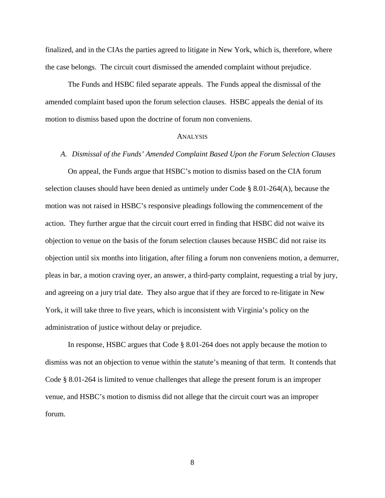finalized, and in the CIAs the parties agreed to litigate in New York, which is, therefore, where the case belongs. The circuit court dismissed the amended complaint without prejudice.

The Funds and HSBC filed separate appeals. The Funds appeal the dismissal of the amended complaint based upon the forum selection clauses. HSBC appeals the denial of its motion to dismiss based upon the doctrine of forum non conveniens.

#### **ANALYSIS**

#### *A. Dismissal of the Funds' Amended Complaint Based Upon the Forum Selection Clauses*

On appeal, the Funds argue that HSBC's motion to dismiss based on the CIA forum selection clauses should have been denied as untimely under Code § 8.01-264(A), because the motion was not raised in HSBC's responsive pleadings following the commencement of the action. They further argue that the circuit court erred in finding that HSBC did not waive its objection to venue on the basis of the forum selection clauses because HSBC did not raise its objection until six months into litigation, after filing a forum non conveniens motion, a demurrer, pleas in bar, a motion craving oyer, an answer, a third-party complaint, requesting a trial by jury, and agreeing on a jury trial date. They also argue that if they are forced to re-litigate in New York, it will take three to five years, which is inconsistent with Virginia's policy on the administration of justice without delay or prejudice.

In response, HSBC argues that Code § 8.01-264 does not apply because the motion to dismiss was not an objection to venue within the statute's meaning of that term. It contends that Code § 8.01-264 is limited to venue challenges that allege the present forum is an improper venue, and HSBC's motion to dismiss did not allege that the circuit court was an improper forum.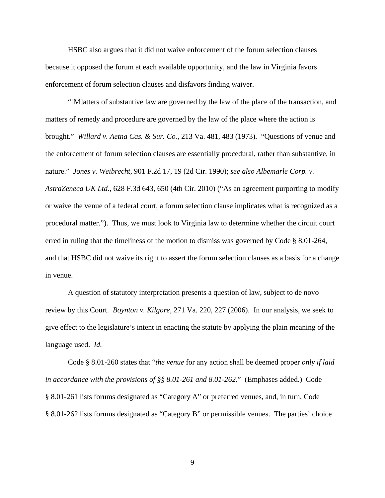HSBC also argues that it did not waive enforcement of the forum selection clauses because it opposed the forum at each available opportunity, and the law in Virginia favors enforcement of forum selection clauses and disfavors finding waiver.

"[M]atters of substantive law are governed by the law of the place of the transaction, and matters of remedy and procedure are governed by the law of the place where the action is brought." *Willard v. Aetna Cas. & Sur. Co.*, 213 Va. 481, 483 (1973)*.* "Questions of venue and the enforcement of forum selection clauses are essentially procedural, rather than substantive, in nature." *Jones v. Weibrecht*, 901 F.2d 17, 19 (2d Cir. 1990); *see also Albemarle Corp. v. AstraZeneca UK Ltd.*, 628 F.3d 643, 650 (4th Cir. 2010) ("As an agreement purporting to modify or waive the venue of a federal court, a forum selection clause implicates what is recognized as a procedural matter."). Thus, we must look to Virginia law to determine whether the circuit court erred in ruling that the timeliness of the motion to dismiss was governed by Code § 8.01-264, and that HSBC did not waive its right to assert the forum selection clauses as a basis for a change in venue.

A question of statutory interpretation presents a question of law, subject to de novo review by this Court. *Boynton v. Kilgore*, 271 Va. 220, 227 (2006). In our analysis, we seek to give effect to the legislature's intent in enacting the statute by applying the plain meaning of the language used. *Id.*

Code § 8.01-260 states that "*the venue* for any action shall be deemed proper *only if laid in accordance with the provisions of §§ 8.01-261 and 8.01-262*." (Emphases added.) Code § 8.01-261 lists forums designated as "Category A" or preferred venues, and, in turn, Code § 8.01-262 lists forums designated as "Category B" or permissible venues. The parties' choice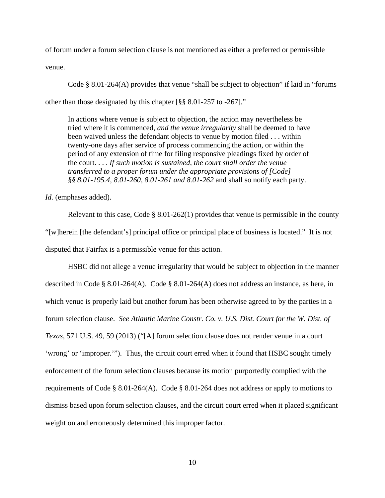of forum under a forum selection clause is not mentioned as either a preferred or permissible

venue.

Code § 8.01-264(A) provides that venue "shall be subject to objection" if laid in "forums other than those designated by this chapter [§§ 8.01-257 to -267]."

In actions where venue is subject to objection, the action may nevertheless be tried where it is commenced, *and the venue irregularity* shall be deemed to have been waived unless the defendant objects to venue by motion filed . . . within twenty-one days after service of process commencing the action, or within the period of any extension of time for filing responsive pleadings fixed by order of the court. . . . *If such motion is sustained, the court shall order the venue transferred to a proper forum under the appropriate provisions of [Code] §§ 8.01-195.4, 8.01-260, 8.01-261 and 8.01-262* and shall so notify each party.

*Id.* (emphases added).

Relevant to this case, Code  $\S 8.01-262(1)$  provides that venue is permissible in the county "[w]herein [the defendant's] principal office or principal place of business is located." It is not disputed that Fairfax is a permissible venue for this action.

HSBC did not allege a venue irregularity that would be subject to objection in the manner described in Code § 8.01-264(A). Code § 8.01-264(A) does not address an instance, as here, in which venue is properly laid but another forum has been otherwise agreed to by the parties in a forum selection clause. *See Atlantic Marine Constr. Co. v. U.S. Dist. Court for the W. Dist. of Texas*, 571 U.S. 49, 59 (2013) ("[A] forum selection clause does not render venue in a court 'wrong' or 'improper.'"). Thus, the circuit court erred when it found that HSBC sought timely enforcement of the forum selection clauses because its motion purportedly complied with the requirements of Code § 8.01-264(A). Code § 8.01-264 does not address or apply to motions to dismiss based upon forum selection clauses, and the circuit court erred when it placed significant weight on and erroneously determined this improper factor.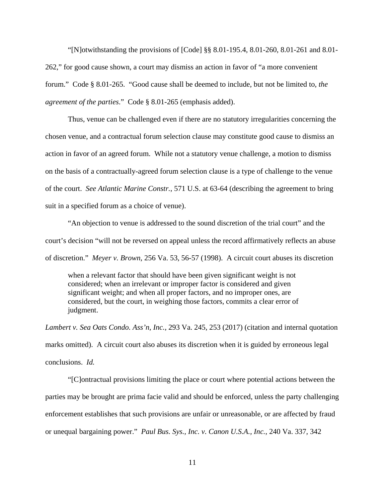"[N]otwithstanding the provisions of [Code] §§ 8.01-195.4, 8.01-260, 8.01-261 and 8.01- 262," for good cause shown, a court may dismiss an action in favor of "a more convenient forum." Code § 8.01-265. "Good cause shall be deemed to include, but not be limited to, *the agreement of the parties*." Code § 8.01-265 (emphasis added).

Thus, venue can be challenged even if there are no statutory irregularities concerning the chosen venue, and a contractual forum selection clause may constitute good cause to dismiss an action in favor of an agreed forum. While not a statutory venue challenge, a motion to dismiss on the basis of a contractually-agreed forum selection clause is a type of challenge to the venue of the court. *See Atlantic Marine Constr.*, 571 U.S. at 63-64 (describing the agreement to bring suit in a specified forum as a choice of venue).

"An objection to venue is addressed to the sound discretion of the trial court" and the court's decision "will not be reversed on appeal unless the record affirmatively reflects an abuse of discretion." *Meyer v. Brown*, 256 Va. 53, 56-57 (1998). A circuit court abuses its discretion

when a relevant factor that should have been given significant weight is not considered; when an irrelevant or improper factor is considered and given significant weight; and when all proper factors, and no improper ones, are considered, but the court, in weighing those factors, commits a clear error of judgment.

*Lambert v. Sea Oats Condo. Ass'n, Inc.*, 293 Va. 245, 253 (2017) (citation and internal quotation marks omitted). A circuit court also abuses its discretion when it is guided by erroneous legal conclusions. *Id.*

"[C]ontractual provisions limiting the place or court where potential actions between the parties may be brought are prima facie valid and should be enforced, unless the party challenging enforcement establishes that such provisions are unfair or unreasonable, or are affected by fraud or unequal bargaining power." *Paul Bus. Sys., Inc. v. Canon U.S.A., Inc.*, 240 Va. 337, 342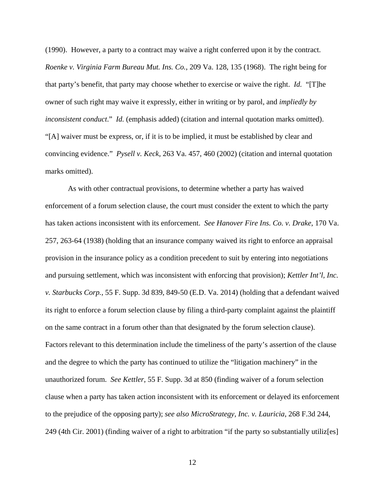(1990). However, a party to a contract may waive a right conferred upon it by the contract. *Roenke v. Virginia Farm Bureau Mut. Ins. Co.*, 209 Va. 128, 135 (1968). The right being for that party's benefit, that party may choose whether to exercise or waive the right. *Id.* "[T]he owner of such right may waive it expressly, either in writing or by parol, and *impliedly by inconsistent conduct*." *Id.* (emphasis added) (citation and internal quotation marks omitted). "[A] waiver must be express, or, if it is to be implied, it must be established by clear and convincing evidence." *Pysell v. Keck*, 263 Va. 457, 460 (2002) (citation and internal quotation marks omitted).

As with other contractual provisions, to determine whether a party has waived enforcement of a forum selection clause, the court must consider the extent to which the party has taken actions inconsistent with its enforcement. *See Hanover Fire Ins. Co. v. Drake*, 170 Va. 257, 263-64 (1938) (holding that an insurance company waived its right to enforce an appraisal provision in the insurance policy as a condition precedent to suit by entering into negotiations and pursuing settlement, which was inconsistent with enforcing that provision); *Kettler Int'l, Inc. v. Starbucks Corp.*, 55 F. Supp. 3d 839, 849-50 (E.D. Va. 2014) (holding that a defendant waived its right to enforce a forum selection clause by filing a third-party complaint against the plaintiff on the same contract in a forum other than that designated by the forum selection clause). Factors relevant to this determination include the timeliness of the party's assertion of the clause and the degree to which the party has continued to utilize the "litigation machinery" in the unauthorized forum. *See Kettler*, 55 F. Supp. 3d at 850 (finding waiver of a forum selection clause when a party has taken action inconsistent with its enforcement or delayed its enforcement to the prejudice of the opposing party); *see also MicroStrategy, Inc. v. Lauricia*, 268 F.3d 244, 249 (4th Cir. 2001) (finding waiver of a right to arbitration "if the party so substantially utiliz[es]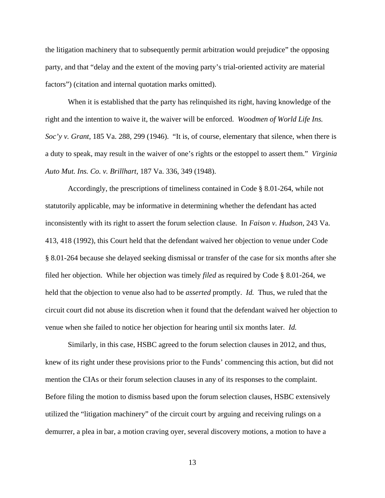the litigation machinery that to subsequently permit arbitration would prejudice" the opposing party, and that "delay and the extent of the moving party's trial-oriented activity are material factors") (citation and internal quotation marks omitted).

When it is established that the party has relinquished its right, having knowledge of the right and the intention to waive it, the waiver will be enforced. *Woodmen of World Life Ins. Soc'y v. Grant*, 185 Va. 288, 299 (1946). "It is, of course, elementary that silence, when there is a duty to speak, may result in the waiver of one's rights or the estoppel to assert them." *Virginia Auto Mut. Ins. Co. v. Brillhart*, 187 Va. 336, 349 (1948).

Accordingly, the prescriptions of timeliness contained in Code § 8.01-264, while not statutorily applicable, may be informative in determining whether the defendant has acted inconsistently with its right to assert the forum selection clause. In *Faison v. Hudson*, 243 Va. 413, 418 (1992), this Court held that the defendant waived her objection to venue under Code § 8.01-264 because she delayed seeking dismissal or transfer of the case for six months after she filed her objection. While her objection was timely *filed* as required by Code § 8.01-264, we held that the objection to venue also had to be *asserted* promptly. *Id.* Thus, we ruled that the circuit court did not abuse its discretion when it found that the defendant waived her objection to venue when she failed to notice her objection for hearing until six months later. *Id.* 

 Similarly, in this case, HSBC agreed to the forum selection clauses in 2012, and thus, knew of its right under these provisions prior to the Funds' commencing this action, but did not mention the CIAs or their forum selection clauses in any of its responses to the complaint. Before filing the motion to dismiss based upon the forum selection clauses, HSBC extensively utilized the "litigation machinery" of the circuit court by arguing and receiving rulings on a demurrer, a plea in bar, a motion craving oyer, several discovery motions, a motion to have a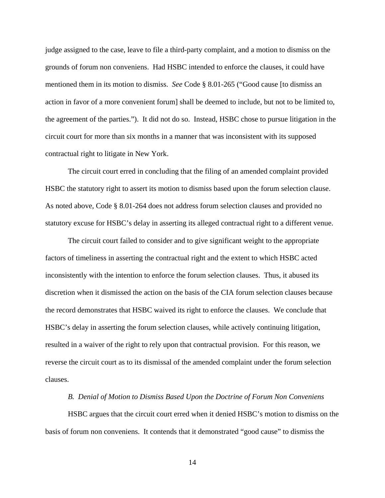judge assigned to the case, leave to file a third-party complaint, and a motion to dismiss on the grounds of forum non conveniens. Had HSBC intended to enforce the clauses, it could have mentioned them in its motion to dismiss. *See* Code § 8.01-265 ("Good cause [to dismiss an action in favor of a more convenient forum] shall be deemed to include, but not to be limited to, the agreement of the parties."). It did not do so. Instead, HSBC chose to pursue litigation in the circuit court for more than six months in a manner that was inconsistent with its supposed contractual right to litigate in New York.

The circuit court erred in concluding that the filing of an amended complaint provided HSBC the statutory right to assert its motion to dismiss based upon the forum selection clause. As noted above, Code § 8.01-264 does not address forum selection clauses and provided no statutory excuse for HSBC's delay in asserting its alleged contractual right to a different venue.

The circuit court failed to consider and to give significant weight to the appropriate factors of timeliness in asserting the contractual right and the extent to which HSBC acted inconsistently with the intention to enforce the forum selection clauses. Thus, it abused its discretion when it dismissed the action on the basis of the CIA forum selection clauses because the record demonstrates that HSBC waived its right to enforce the clauses. We conclude that HSBC's delay in asserting the forum selection clauses, while actively continuing litigation, resulted in a waiver of the right to rely upon that contractual provision. For this reason, we reverse the circuit court as to its dismissal of the amended complaint under the forum selection clauses.

#### *B. Denial of Motion to Dismiss Based Upon the Doctrine of Forum Non Conveniens*

HSBC argues that the circuit court erred when it denied HSBC's motion to dismiss on the basis of forum non conveniens. It contends that it demonstrated "good cause" to dismiss the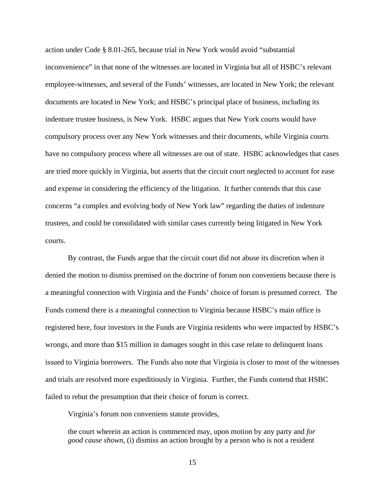action under Code § 8.01-265, because trial in New York would avoid "substantial inconvenience" in that none of the witnesses are located in Virginia but all of HSBC's relevant employee-witnesses, and several of the Funds' witnesses, are located in New York; the relevant documents are located in New York; and HSBC's principal place of business, including its indenture trustee business, is New York. HSBC argues that New York courts would have compulsory process over any New York witnesses and their documents, while Virginia courts have no compulsory process where all witnesses are out of state. HSBC acknowledges that cases are tried more quickly in Virginia, but asserts that the circuit court neglected to account for ease and expense in considering the efficiency of the litigation. It further contends that this case concerns "a complex and evolving body of New York law" regarding the duties of indenture trustees, and could be consolidated with similar cases currently being litigated in New York courts.

By contrast, the Funds argue that the circuit court did not abuse its discretion when it denied the motion to dismiss premised on the doctrine of forum non conveniens because there is a meaningful connection with Virginia and the Funds' choice of forum is presumed correct. The Funds contend there is a meaningful connection to Virginia because HSBC's main office is registered here, four investors in the Funds are Virginia residents who were impacted by HSBC's wrongs, and more than \$15 million in damages sought in this case relate to delinquent loans issued to Virginia borrowers. The Funds also note that Virginia is closer to most of the witnesses and trials are resolved more expeditiously in Virginia. Further, the Funds contend that HSBC failed to rebut the presumption that their choice of forum is correct.

Virginia's forum non conveniens statute provides,

the court wherein an action is commenced may, upon motion by any party and *for good cause shown*, (i) dismiss an action brought by a person who is not a resident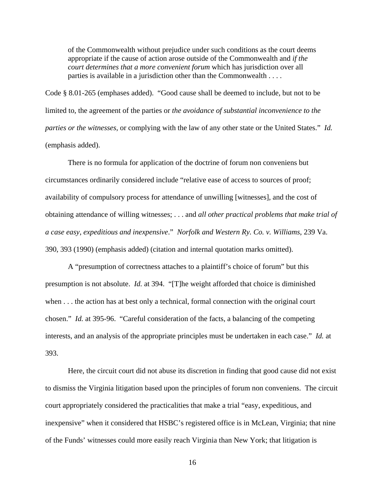of the Commonwealth without prejudice under such conditions as the court deems appropriate if the cause of action arose outside of the Commonwealth and *if the court determines that a more convenient forum* which has jurisdiction over all parties is available in a jurisdiction other than the Commonwealth . . . .

Code § 8.01-265 (emphases added). "Good cause shall be deemed to include, but not to be limited to, the agreement of the parties or *the avoidance of substantial inconvenience to the parties or the witnesses*, or complying with the law of any other state or the United States." *Id.* (emphasis added).

There is no formula for application of the doctrine of forum non conveniens but circumstances ordinarily considered include "relative ease of access to sources of proof; availability of compulsory process for attendance of unwilling [witnesses], and the cost of obtaining attendance of willing witnesses; . . . and *all other practical problems that make trial of a case easy, expeditious and inexpensive*." *Norfolk and Western Ry. Co. v. Williams*, 239 Va. 390, 393 (1990) (emphasis added) (citation and internal quotation marks omitted).

A "presumption of correctness attaches to a plaintiff's choice of forum" but this presumption is not absolute. *Id.* at 394. "[T]he weight afforded that choice is diminished when . . . the action has at best only a technical, formal connection with the original court chosen." *Id.* at 395-96. "Careful consideration of the facts, a balancing of the competing interests, and an analysis of the appropriate principles must be undertaken in each case." *Id.* at 393.

Here, the circuit court did not abuse its discretion in finding that good cause did not exist to dismiss the Virginia litigation based upon the principles of forum non conveniens. The circuit court appropriately considered the practicalities that make a trial "easy, expeditious, and inexpensive" when it considered that HSBC's registered office is in McLean, Virginia; that nine of the Funds' witnesses could more easily reach Virginia than New York; that litigation is